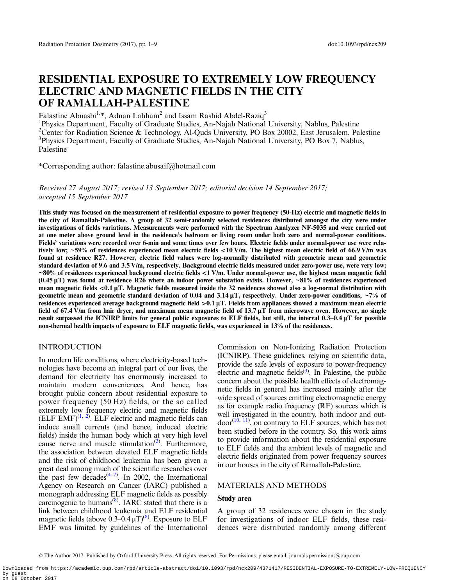# RESIDENTIAL EXPOSURE TO EXTREMELY LOW FREQUENCY ELECTRIC AND MAGNETIC FIELDS IN THE CITY OF RAMALLAH-PALESTINE

Falastine Abuasbi<sup>1,\*</sup>, Adnan Lahham<sup>2</sup> and Issam Rashid Abdel-Raziq<sup>3</sup>

<sup>1</sup>Physics Department, Faculty of Graduate Studies, An-Najah National University, Nablus, Palestine <sup>2</sup>Center for Radiation Science & Technology, Al-Quds University, PO Box 20002, East Jerusalem, Palestine <sup>3</sup>Physics Department, Faculty of Graduate Studies, An-Najah National University, PO Box 7, Nablus, Palestine

\*Corresponding author: falastine.abusaif@hotmail.com

Received 27 August 2017; revised 13 September 2017; editorial decision 14 September 2017; accepted 15 September 2017

This study was focused on the measurement of residential exposure to power frequency (50-Hz) electric and magnetic fields in the city of Ramallah-Palestine. A group of 32 semi-randomly selected residences distributed amongst the city were under investigations of fields variations. Measurements were performed with the Spectrum Analyzer NF-5035 and were carried out at one meter above ground level in the residence's bedroom or living room under both zero and normal-power conditions. Fields' variations were recorded over 6-min and some times over few hours. Electric fields under normal-power use were relatively low; ~59% of residences experienced mean electric fields <10 V/m. The highest mean electric field of 66.9 V/m was found at residence R27. However, electric field values were log-normally distributed with geometric mean and geometric standard deviation of 9.6 and 3.5 V/m, respectively. Background electric fields measured under zero-power use, were very low;  $~80\%$  of residences experienced background electric fields  $~1$  V/m. Under normal-power use, the highest mean magnetic field  $(0.45 \,\mu\text{T})$  was found at residence R26 where an indoor power substation exists. However, ~81% of residences experienced mean magnetic fields <0.1 μT. Magnetic fields measured inside the 32 residences showed also a log-normal distribution with geometric mean and geometric standard deviation of 0.04 and 3.14  $\mu$ T, respectively. Under zero-power conditions,  $\sim$ 7% of residences experienced average background magnetic field >0.1 μT. Fields from appliances showed a maximum mean electric field of 67.4 V/m from hair dryer, and maximum mean magnetic field of 13.7 μT from microwave oven. However, no single result surpassed the ICNIRP limits for general public exposures to ELF fields, but still, the interval 0.3–0.4 μT for possible non-thermal health impacts of exposure to ELF magnetic fields, was experienced in 13% of the residences.

## INTRODUCTION

In modern life conditions, where electricity-based technologies have become an integral part of our lives, the demand for electricity has enormously increased to maintain modern conveniences. And hence, has brought public concern about residential exposure to power frequency (50 Hz) fields, or the so called extremely low frequency electric and magnetic fields  $(ELF EMF)^{(1, 2)}$  $(ELF EMF)^{(1, 2)}$  $(ELF EMF)^{(1, 2)}$  $(ELF EMF)^{(1, 2)}$  $(ELF EMF)^{(1, 2)}$ . ELF electric and magnetic fields can induce small currents (and hence, induced electric fields) inside the human body which at very high level cause nerve and muscle stimulation<sup>[\(3\)](#page-7-0)</sup>. Furthermore, the association between elevated ELF magnetic fields and the risk of childhood leukemia has been given a great deal among much of the scientific researches over the past few decades<sup> $(4-7)$  $(4-7)$  $(4-7)$  $(4-7)$  $(4-7)$ </sup>. In 2002, the International Agency on Research on Cancer (IARC) published a monograph addressing ELF magnetic fields as possibly carcinogenic to humans<sup>([8](#page-7-0))</sup>. IARC stated that there is a link between childhood leukemia and ELF residential magnetic fields (above  $0.3$ – $0.4 \mu T$ )<sup>[\(8\)](#page-7-0)</sup>. Exposure to ELF EMF was limited by guidelines of the International Commission on Non-Ionizing Radiation Protection (ICNIRP). These guidelines, relying on scientific data, provide the safe levels of exposure to power-frequency electric and magnetic fields<sup>([9\)](#page-7-0)</sup>. In Palestine, the public concern about the possible health effects of electromagnetic fields in general has increased mainly after the wide spread of sources emitting electromagnetic energy as for example radio frequency (RF) sources which is well investigated in the country, both indoor and out- $door^{(10, 11)}$  $door^{(10, 11)}$  $door^{(10, 11)}$  $door^{(10, 11)}$  $door^{(10, 11)}$ , on contrary to ELF sources, which has not been studied before in the country. So, this work aims to provide information about the residential exposure to ELF fields and the ambient levels of magnetic and electric fields originated from power frequency sources in our houses in the city of Ramallah-Palestine.

# MATERIALS AND METHODS

# Study area

A group of 32 residences were chosen in the study for investigations of indoor ELF fields, these residences were distributed randomly among different

<sup>©</sup> The Author 2017. Published by Oxford University Press. All rights reserved. For Permissions, please email: journals.permissions@oup.com

Downloaded from https://academic.oup.com/rpd/article-abstract/doi/10.1093/rpd/ncx209/4371417/RESIDENTIAL-EXPOSURE-TO-EXTREMELY-LOW-FREQUENCY by guest on 08 October 2017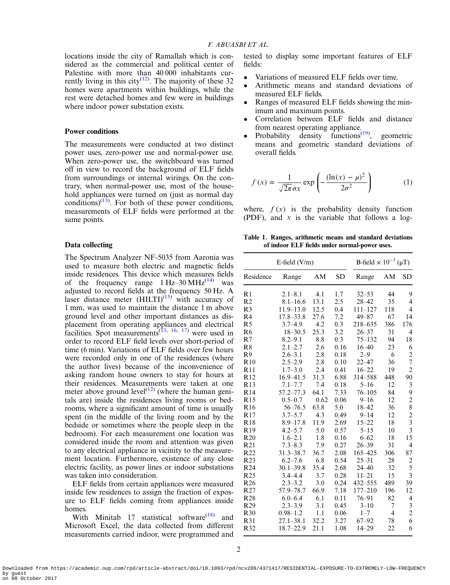<span id="page-1-0"></span>locations inside the city of Ramallah which is considered as the commercial and political center of Palestine with more than 40 000 inhabitants cur-rently living in this city<sup>([12\)](#page-7-0)</sup>. The majority of these 32 homes were apartments within buildings, while the rest were detached homes and few were in buildings where indoor power substation exists.

# Power conditions

The measurements were conducted at two distinct power uses, zero-power use and normal-power use. When zero-power use, the switchboard was turned off in view to record the background of ELF fields from surroundings or internal wirings. On the contrary, when normal-power use, most of the household appliances were turned on (just as normal day conditions) $(13)$  $(13)$  $(13)$ . For both of these power conditions, measurements of ELF fields were performed at the same points.

#### Data collecting

The Spectrum Analyzer NF-5035 from Aaronia was used to measure both electric and magnetic fields inside residences. This device which measures fields of the frequency range  $1 \text{ Hz}$ –30 MHz<sup>[\(14\)](#page-7-0)</sup> was adjusted to record fields at the frequency 50 Hz. A laser distance meter  $(HILTI)^{(15)}$  $(HILTI)^{(15)}$  $(HILTI)^{(15)}$  with accuracy of 1 mm, was used to maintain the distance 1 m above ground level and other important distances as dis-placement from operating appliances and electrical facilities. Spot measurements<sup>[\(13](#page-7-0), [16](#page-7-0), [17\)](#page-7-0)</sup> were used in order to record ELF field levels over short-period of time (6 min). Variations of ELF fields over few hours were recorded only in one of the residences (where the author lives) because of the inconvenience of asking random house owners to stay for hours at their residences. Measurements were taken at one meter above ground level<sup> $(12)$  $(12)$  $(12)$ </sup> (where the human genitals are) inside the residences living rooms or bedrooms, where a significant amount of time is usually spent (in the middle of the living room and by the bedside or sometimes where the people sleep in the bedroom). For each measurement one location was considered inside the room and attention was given to any electrical appliance in vicinity to the measurement location. Furthermore, existence of any close electric facility, as power lines or indoor substations was taken into consideration.

ELF fields from certain appliances were measured inside few residences to assign the fraction of exposure to ELF fields coming from appliances inside homes.

With Minitab 17 statistical software $(18)$  $(18)$  and Microsoft Excel, the data collected from different measurements carried indoor, were programmed and tested to display some important features of ELF fields:

- Variations of measured ELF fields over time.
- Arithmetic means and standard deviations of measured ELF fields.
- Ranges of measured ELF fields showing the minimum and maximum points.
- Correlation between ELF fields and distance from nearest operating appliance.
- Probability density functions<sup> $(19)$  $(19)$  $(19)$ </sup>, geometric means and geometric standard deviations of overall fields.

$$
f(x) = \frac{1}{\sqrt{2\pi}\sigma x} \exp\left(-\frac{(\ln(x) - \mu)^2}{2\sigma^2}\right) \tag{1}
$$

where,  $f(x)$  is the probability density function (PDF), and *x* is the variable that follows a log-

Table 1. Ranges, arithmetic means and standard deviations of indoor ELF fields under normal-power uses.

| E-field $(V/m)$ |               |      |      | B-field $\times 10^{-3}$ ( $\mu$ T) |     |                         |
|-----------------|---------------|------|------|-------------------------------------|-----|-------------------------|
| Residence       | Range         | AM   | SD   | Range                               | AM  | SD                      |
| R <sub>1</sub>  | $2.1 - 8.1$   | 4.1  | 1.7  | $32 - 53$                           | 44  | 9                       |
| R <sub>2</sub>  | $8.1 - 16.6$  | 13.1 | 2.5  | $28 - 42$                           | 35  | 4                       |
| R <sub>3</sub>  | $11.9 - 13.0$ | 12.5 | 0.4  | $111 - 127$                         | 118 | 4                       |
| R <sub>4</sub>  | $17.8 - 33.8$ | 27.6 | 7.2  | $49 - 87$                           | 67  | 14                      |
| R <sub>5</sub>  | $3.7 - 4.9$   | 4.2  | 0.3  | 218-635                             | 386 | 176                     |
| R <sub>6</sub>  | $18 - 30.5$   | 25.3 | 3.2  | $26 - 37$                           | 31  | 4                       |
| R7              | $8.2 - 9.1$   | 8.8  | 0.3  | $75 - 132$                          | 94  | 18                      |
| R8              | $2.1 - 2.7$   | 2.6  | 0.16 | $16 - 40$                           | 23  | 6                       |
| R9              | $2.6 - 3.1$   | 2.8  | 0.18 | $2 - 9$                             | 6   | $\overline{c}$          |
| R10             | $2.5 - 2.9$   | 2.8  | 0.10 | $22 - 47$                           | 36  | $\overline{7}$          |
| R11             | $1.7 - 3.0$   | 2.4  | 0.41 | $16 - 22$                           | 19  | $\overline{c}$          |
| R12             | 16.9-41.5     | 31.3 | 6.88 | 314-588                             | 448 | 90                      |
| R13             | $7.1 - 7.7$   | 7.4  | 0.18 | $5 - 16$                            | 12  | 3                       |
| R <sub>14</sub> | $57.2 - 77.3$ | 64.1 | 7.33 | $76 - 105$                          | 84  | 9                       |
| R15             | $0.5 - 0.7$   | 0.62 | 0.06 | $9 - 16$                            | 12  | $\overline{c}$          |
| R <sub>16</sub> | 56-76.5       | 63.8 | 5.0  | $18 - 42$                           | 36  | 8                       |
| R17             | $3.7 - 5.7$   | 4.3  | 0.49 | $9 - 14$                            | 12  | $\frac{2}{3}$           |
| R <sub>18</sub> | $8.9 - 17.8$  | 11.9 | 2.69 | $15 - 22$                           | 18  |                         |
| R <sub>19</sub> | $4.2 - 5.7$   | 5.0  | 0.57 | $5 - 15$                            | 10  | $\overline{3}$          |
| R20             | $1.6 - 2.1$   | 1.8  | 0.16 | $6 - 62$                            | 18  | 15                      |
| R21             | $7.3 - 8.3$   | 7.9  | 0.27 | $26 - 39$                           | 31  | 4                       |
| R <sub>22</sub> | $31.3 - 38.7$ | 36.7 | 2.08 | 165-425                             | 306 | 87                      |
| R <sub>23</sub> | $6.2 - 7.6$   | 6.8  | 0.54 | $25 - 31$                           | 28  | $\overline{\mathbf{c}}$ |
| R <sub>24</sub> | $30.1 - 39.8$ | 35.4 | 2.68 | $24 - 40$                           | 32  | 5                       |
| R <sub>25</sub> | $3.4 - 4.4$   | 3.7  | 0.28 | $11 - 21$                           | 15  | $\overline{3}$          |
| R <sub>26</sub> | $2.3 - 3.2$   | 3.0  | 0.24 | 432-555                             | 489 | 39                      |
| R <sub>27</sub> | 57.9-78.7     | 66.9 | 7.18 | $177 - 210$                         | 196 | 12                      |
| R <sub>28</sub> | $6.0 - 6.4$   | 6.1  | 0.11 | 76–91                               | 82  | 4                       |
| R <sub>29</sub> | $2.3 - 3.9$   | 3.1  | 0.45 | $3 - 10$                            | 7   | 3                       |
| R <sub>30</sub> | $0.98 - 1.2$  | 1.1  | 0.06 | $1 - 7$                             | 4   | $\overline{c}$          |
| R31             | $27.1 - 38.1$ | 32.2 | 3.27 | $67 - 92$                           | 78  | 6                       |
| R32             | $18.7 - 22.9$ | 21.1 | 1.08 | $14 - 29$                           | 22  | 6                       |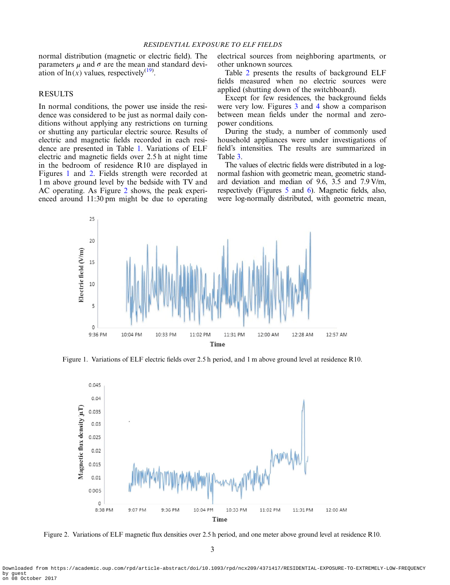#### RESIDENTIAL EXPOSURE TO ELF FIELDS

normal distribution (magnetic or electric field). The parameters  $\mu$  and  $\sigma$  are the mean and standard deviation of  $\ln(x)$  values, respectively<sup>[\(19\)](#page-7-0)</sup>.

## RESULTS

In normal conditions, the power use inside the residence was considered to be just as normal daily conditions without applying any restrictions on turning or shutting any particular electric source. Results of electric and magnetic fields recorded in each residence are presented in Table [1.](#page-1-0) Variations of ELF electric and magnetic fields over 2.5 h at night time in the bedroom of residence R10 are displayed in Figures 1 and 2. Fields strength were recorded at 1 m above ground level by the bedside with TV and AC operating. As Figure 2 shows, the peak experienced around 11:30 pm might be due to operating electrical sources from neighboring apartments, or other unknown sources.

Table [2](#page-3-0) presents the results of background ELF fields measured when no electric sources were applied (shutting down of the switchboard).

Except for few residences, the background fields were very low. Figures [3](#page-3-0) and [4](#page-4-0) show a comparison between mean fields under the normal and zeropower conditions.

During the study, a number of commonly used household appliances were under investigations of field's intensities. The results are summarized in Table [3.](#page-4-0)

The values of electric fields were distributed in a lognormal fashion with geometric mean, geometric standard deviation and median of 9.6, 3.5 and 7.9 V/m, respectively (Figures [5](#page-5-0) and [6](#page-5-0)). Magnetic fields, also, were log-normally distributed, with geometric mean,



Figure 1. Variations of ELF electric fields over 2.5 h period, and 1 m above ground level at residence R10.



Figure 2. Variations of ELF magnetic flux densities over 2.5 h period, and one meter above ground level at residence R10.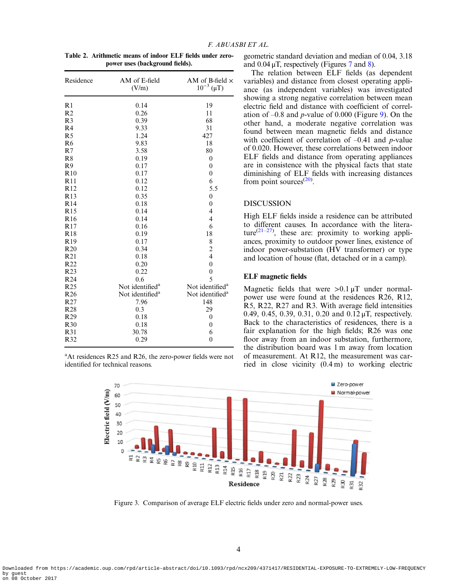<span id="page-3-0"></span>Table 2. Arithmetic means of indoor ELF fields under zeropower uses (background fields).

| R1<br>19<br>0.14<br>R <sub>2</sub><br>0.26<br>11<br>R <sub>3</sub><br>68<br>0.39<br>R <sub>4</sub><br>9.33<br>31<br>R <sub>5</sub><br>1.24<br>427<br>R6<br>9.83<br>18<br>R7<br>3.58<br>80<br>R8<br>0.19<br>$\mathbf{0}$<br>R9<br>0.17<br>$\theta$<br>R10<br>0.17<br>$\theta$<br>R11<br>0.12<br>6<br>5.5<br>R <sub>12</sub><br>0.12<br>R13<br>0.35<br>$\mathbf{0}$<br>R <sub>14</sub><br>0.18<br>$\mathbf{0}$<br>R <sub>15</sub><br>4<br>0.14<br>$\overline{4}$<br>R <sub>16</sub><br>0.14<br>R <sub>17</sub><br>0.16<br>6<br><b>R18</b><br>0.19<br>18<br>8<br>R <sub>19</sub><br>0.17<br>$\overline{c}$<br>R20<br>0.34<br>$\overline{4}$<br>R21<br>0.18<br>R <sub>22</sub><br>0.20<br>$\overline{0}$<br>$\overline{0}$<br>R <sub>23</sub><br>0.22<br>5<br>R <sub>24</sub><br>0.6<br>R <sub>25</sub><br>Not identified <sup>a</sup><br>Not identified <sup>a</sup><br>R <sub>26</sub><br>Not identified <sup>a</sup><br>Not identified <sup>a</sup><br>R <sub>27</sub><br>7.96<br>148<br>R <sub>28</sub><br>0.3<br>29<br>0.18<br>R <sub>29</sub><br>$\mathbf{0}$<br>R <sub>30</sub><br>0.18<br>$\mathbf{0}$<br>R31<br>30.78<br>6<br>R32<br>$\mathbf{0}$<br>0.29 | Residence | AM of E-field<br>(V/m) | AM of B-field $\times$<br>$10^{-3} (\mu T)$ |  |
|----------------------------------------------------------------------------------------------------------------------------------------------------------------------------------------------------------------------------------------------------------------------------------------------------------------------------------------------------------------------------------------------------------------------------------------------------------------------------------------------------------------------------------------------------------------------------------------------------------------------------------------------------------------------------------------------------------------------------------------------------------------------------------------------------------------------------------------------------------------------------------------------------------------------------------------------------------------------------------------------------------------------------------------------------------------------------------------------------------------------------------------------------------------|-----------|------------------------|---------------------------------------------|--|
|                                                                                                                                                                                                                                                                                                                                                                                                                                                                                                                                                                                                                                                                                                                                                                                                                                                                                                                                                                                                                                                                                                                                                                |           |                        |                                             |  |
|                                                                                                                                                                                                                                                                                                                                                                                                                                                                                                                                                                                                                                                                                                                                                                                                                                                                                                                                                                                                                                                                                                                                                                |           |                        |                                             |  |
|                                                                                                                                                                                                                                                                                                                                                                                                                                                                                                                                                                                                                                                                                                                                                                                                                                                                                                                                                                                                                                                                                                                                                                |           |                        |                                             |  |
|                                                                                                                                                                                                                                                                                                                                                                                                                                                                                                                                                                                                                                                                                                                                                                                                                                                                                                                                                                                                                                                                                                                                                                |           |                        |                                             |  |
|                                                                                                                                                                                                                                                                                                                                                                                                                                                                                                                                                                                                                                                                                                                                                                                                                                                                                                                                                                                                                                                                                                                                                                |           |                        |                                             |  |
|                                                                                                                                                                                                                                                                                                                                                                                                                                                                                                                                                                                                                                                                                                                                                                                                                                                                                                                                                                                                                                                                                                                                                                |           |                        |                                             |  |
|                                                                                                                                                                                                                                                                                                                                                                                                                                                                                                                                                                                                                                                                                                                                                                                                                                                                                                                                                                                                                                                                                                                                                                |           |                        |                                             |  |
|                                                                                                                                                                                                                                                                                                                                                                                                                                                                                                                                                                                                                                                                                                                                                                                                                                                                                                                                                                                                                                                                                                                                                                |           |                        |                                             |  |
|                                                                                                                                                                                                                                                                                                                                                                                                                                                                                                                                                                                                                                                                                                                                                                                                                                                                                                                                                                                                                                                                                                                                                                |           |                        |                                             |  |
|                                                                                                                                                                                                                                                                                                                                                                                                                                                                                                                                                                                                                                                                                                                                                                                                                                                                                                                                                                                                                                                                                                                                                                |           |                        |                                             |  |
|                                                                                                                                                                                                                                                                                                                                                                                                                                                                                                                                                                                                                                                                                                                                                                                                                                                                                                                                                                                                                                                                                                                                                                |           |                        |                                             |  |
|                                                                                                                                                                                                                                                                                                                                                                                                                                                                                                                                                                                                                                                                                                                                                                                                                                                                                                                                                                                                                                                                                                                                                                |           |                        |                                             |  |
|                                                                                                                                                                                                                                                                                                                                                                                                                                                                                                                                                                                                                                                                                                                                                                                                                                                                                                                                                                                                                                                                                                                                                                |           |                        |                                             |  |
|                                                                                                                                                                                                                                                                                                                                                                                                                                                                                                                                                                                                                                                                                                                                                                                                                                                                                                                                                                                                                                                                                                                                                                |           |                        |                                             |  |
|                                                                                                                                                                                                                                                                                                                                                                                                                                                                                                                                                                                                                                                                                                                                                                                                                                                                                                                                                                                                                                                                                                                                                                |           |                        |                                             |  |
|                                                                                                                                                                                                                                                                                                                                                                                                                                                                                                                                                                                                                                                                                                                                                                                                                                                                                                                                                                                                                                                                                                                                                                |           |                        |                                             |  |
|                                                                                                                                                                                                                                                                                                                                                                                                                                                                                                                                                                                                                                                                                                                                                                                                                                                                                                                                                                                                                                                                                                                                                                |           |                        |                                             |  |
|                                                                                                                                                                                                                                                                                                                                                                                                                                                                                                                                                                                                                                                                                                                                                                                                                                                                                                                                                                                                                                                                                                                                                                |           |                        |                                             |  |
|                                                                                                                                                                                                                                                                                                                                                                                                                                                                                                                                                                                                                                                                                                                                                                                                                                                                                                                                                                                                                                                                                                                                                                |           |                        |                                             |  |
|                                                                                                                                                                                                                                                                                                                                                                                                                                                                                                                                                                                                                                                                                                                                                                                                                                                                                                                                                                                                                                                                                                                                                                |           |                        |                                             |  |
|                                                                                                                                                                                                                                                                                                                                                                                                                                                                                                                                                                                                                                                                                                                                                                                                                                                                                                                                                                                                                                                                                                                                                                |           |                        |                                             |  |
|                                                                                                                                                                                                                                                                                                                                                                                                                                                                                                                                                                                                                                                                                                                                                                                                                                                                                                                                                                                                                                                                                                                                                                |           |                        |                                             |  |
|                                                                                                                                                                                                                                                                                                                                                                                                                                                                                                                                                                                                                                                                                                                                                                                                                                                                                                                                                                                                                                                                                                                                                                |           |                        |                                             |  |
|                                                                                                                                                                                                                                                                                                                                                                                                                                                                                                                                                                                                                                                                                                                                                                                                                                                                                                                                                                                                                                                                                                                                                                |           |                        |                                             |  |
|                                                                                                                                                                                                                                                                                                                                                                                                                                                                                                                                                                                                                                                                                                                                                                                                                                                                                                                                                                                                                                                                                                                                                                |           |                        |                                             |  |
|                                                                                                                                                                                                                                                                                                                                                                                                                                                                                                                                                                                                                                                                                                                                                                                                                                                                                                                                                                                                                                                                                                                                                                |           |                        |                                             |  |
|                                                                                                                                                                                                                                                                                                                                                                                                                                                                                                                                                                                                                                                                                                                                                                                                                                                                                                                                                                                                                                                                                                                                                                |           |                        |                                             |  |
|                                                                                                                                                                                                                                                                                                                                                                                                                                                                                                                                                                                                                                                                                                                                                                                                                                                                                                                                                                                                                                                                                                                                                                |           |                        |                                             |  |
|                                                                                                                                                                                                                                                                                                                                                                                                                                                                                                                                                                                                                                                                                                                                                                                                                                                                                                                                                                                                                                                                                                                                                                |           |                        |                                             |  |
|                                                                                                                                                                                                                                                                                                                                                                                                                                                                                                                                                                                                                                                                                                                                                                                                                                                                                                                                                                                                                                                                                                                                                                |           |                        |                                             |  |
|                                                                                                                                                                                                                                                                                                                                                                                                                                                                                                                                                                                                                                                                                                                                                                                                                                                                                                                                                                                                                                                                                                                                                                |           |                        |                                             |  |
|                                                                                                                                                                                                                                                                                                                                                                                                                                                                                                                                                                                                                                                                                                                                                                                                                                                                                                                                                                                                                                                                                                                                                                |           |                        |                                             |  |

<sup>a</sup>At residences R25 and R26, the zero-power fields were not identified for technical reasons.

geometric standard deviation and median of 0.04, 3.18 and  $0.04 \mu T$ , respectively (Figures [7](#page-6-0) and [8](#page-6-0)).

The relation between ELF fields (as dependent variables) and distance from closest operating appliance (as independent variables) was investigated showing a strong negative correlation between mean electric field and distance with coefficient of correlation of  $-0.8$  and *p*-value of 0.000 (Figure [9](#page-6-0)). On the other hand, a moderate negative correlation was found between mean magnetic fields and distance with coefficient of correlation of  $-0.41$  and p-value of 0.020. However, these correlations between indoor ELF fields and distance from operating appliances are in consistence with the physical facts that state diminishing of ELF fields with increasing distances from point sources $(20)$  $(20)$ .

# DISCUSSION

High ELF fields inside a residence can be attributed to different causes. In accordance with the litera-ture<sup>[\(21](#page-7-0)–[27](#page-8-0))</sup>, these are: proximity to working appliances, proximity to outdoor power lines, existence of indoor power-substation (HV transformer) or type and location of house (flat, detached or in a camp).

### ELF magnetic fields

Magnetic fields that were  $>0.1 \mu T$  under normalpower use were found at the residences R26, R12, R5, R22, R27 and R3. With average field intensities 0.49, 0.45, 0.39, 0.31, 0.20 and 0.12 μT, respectively. Back to the characteristics of residences, there is a fair explanation for the high fields; R26 was one floor away from an indoor substation, furthermore, the distribution board was 1 m away from location of measurement. At R12, the measurement was carried in close vicinity (0.4 m) to working electric



Figure 3. Comparison of average ELF electric fields under zero and normal-power uses.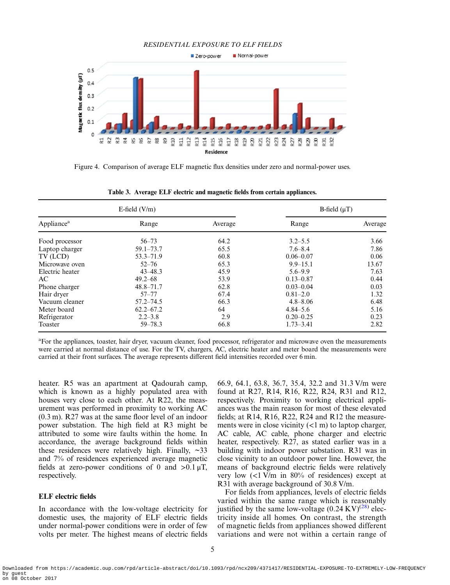<span id="page-4-0"></span>

Figure 4. Comparison of average ELF magnetic flux densities under zero and normal-power uses.

|                        | E-field $(V/m)$ | B-field $(\mu T)$ |               |         |
|------------------------|-----------------|-------------------|---------------|---------|
| Appliance <sup>a</sup> | Range           | Average           | Range         | Average |
| Food processor         | $56 - 73$       | 64.2              | $3.2 - 5.5$   | 3.66    |
| Laptop charger         | $59.1 - 73.7$   | 65.5              | $7.6 - 8.4$   | 7.86    |
| TV (LCD)               | $53.3 - 71.9$   | 60.8              | $0.06 - 0.07$ | 0.06    |
| Microwave oven         | $52 - 76$       | 65.3              | $9.9 - 15.1$  | 13.67   |
| Electric heater        | $43 - 48.3$     | 45.9              | $5.6 - 9.9$   | 7.63    |
| AC                     | $49.2 - 68$     | 53.9              | $0.13 - 0.87$ | 0.44    |
| Phone charger          | $48.8 - 71.7$   | 62.8              | $0.03 - 0.04$ | 0.03    |
| Hair dryer             | $57 - 77$       | 67.4              | $0.81 - 2.0$  | 1.32    |
| Vacuum cleaner         | $57.2 - 74.5$   | 66.3              | $4.8 - 8.06$  | 6.48    |
| Meter board            | $62.2 - 67.2$   | 64                | $4.84 - 5.6$  | 5.16    |
| Refrigerator           | $2.2 - 3.8$     | 2.9               | $0.20 - 0.25$ | 0.23    |
| Toaster                | $59 - 78.3$     | 66.8              | $1.73 - 3.41$ | 2.82    |

Table 3. Average ELF electric and magnetic fields from certain appliances.

a For the appliances, toaster, hair dryer, vacuum cleaner, food processor, refrigerator and microwave oven the measurements were carried at normal distance of use. For the TV, chargers, AC, electric heater and meter board the measurements were carried at their front surfaces. The average represents different field intensities recorded over 6 min.

heater. R5 was an apartment at Qadourah camp, which is known as a highly populated area with houses very close to each other. At R22, the measurement was performed in proximity to working AC (0.3 m). R27 was at the same floor level of an indoor power substation. The high field at R3 might be attributed to some wire faults within the home. In accordance, the average background fields within these residences were relatively high. Finally,  $\sim$ 33 and 7% of residences experienced average magnetic fields at zero-power conditions of 0 and  $>0.1 \mu T$ , respectively.

## ELF electric fields

In accordance with the low-voltage electricity for domestic uses, the majority of ELF electric fields under normal-power conditions were in order of few volts per meter. The highest means of electric fields 66.9, 64.1, 63.8, 36.7, 35.4, 32.2 and 31.3 V/m were found at R27, R14, R16, R22, R24, R31 and R12, respectively. Proximity to working electrical appliances was the main reason for most of these elevated fields; at R14, R16, R22, R24 and R12 the measurements were in close vicinity  $(<1$  m) to laptop charger, AC cable, AC cable, phone charger and electric heater, respectively. R27, as stated earlier was in a building with indoor power substation. R31 was in close vicinity to an outdoor power line. However, the means of background electric fields were relatively very low (<1 V/m in 80% of residences) except at R31 with average background of 30.8 V/m.

For fields from appliances, levels of electric fields varied within the same range which is reasonably justified by the same low-voltage  $(0.24 \text{ KV})^{(28)}$  $(0.24 \text{ KV})^{(28)}$  $(0.24 \text{ KV})^{(28)}$  electricity inside all homes. On contrast, the strength of magnetic fields from appliances showed different variations and were not within a certain range of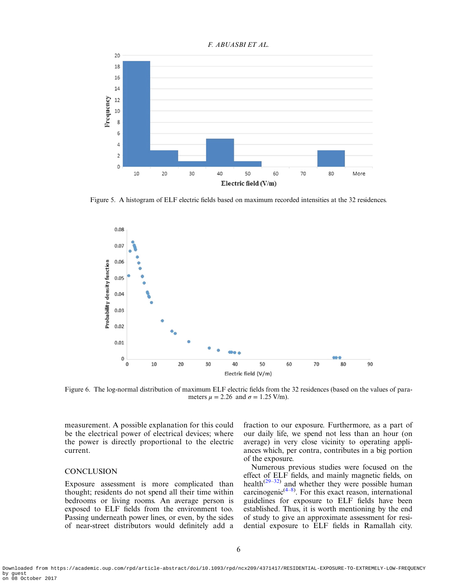<span id="page-5-0"></span>

Figure 5. A histogram of ELF electric fields based on maximum recorded intensities at the 32 residences.



Figure 6. The log-normal distribution of maximum ELF electric fields from the 32 residences (based on the values of parameters  $\mu = 2.26$  and  $\sigma = 1.25$  V/m).

measurement. A possible explanation for this could be the electrical power of electrical devices; where the power is directly proportional to the electric current.

# **CONCLUSION**

Exposure assessment is more complicated than thought; residents do not spend all their time within bedrooms or living rooms. An average person is exposed to ELF fields from the environment too. Passing underneath power lines, or even, by the sides of near-street distributors would definitely add a

fraction to our exposure. Furthermore, as a part of our daily life, we spend not less than an hour (on average) in very close vicinity to operating appliances which, per contra, contributes in a big portion of the exposure.

Numerous previous studies were focused on the effect of ELF fields, and mainly magnetic fields, on health $(29-32)$  $(29-32)$  $(29-32)$  $(29-32)$  and whether they were possible human carcinogenic $(4-8)$  $(4-8)$  $(4-8)$  $(4-8)$ . For this exact reason, international guidelines for exposure to ELF fields have been established. Thus, it is worth mentioning by the end of study to give an approximate assessment for residential exposure to ELF fields in Ramallah city.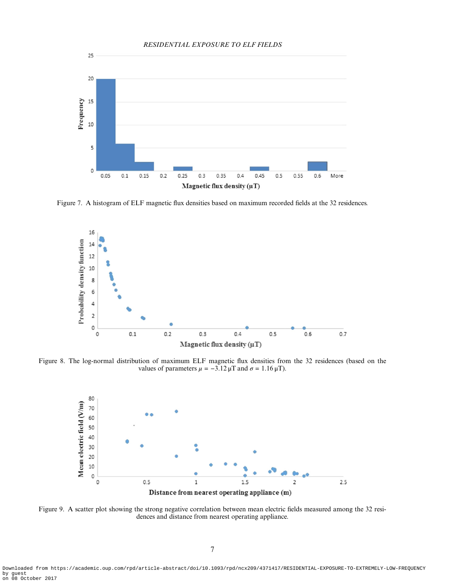<span id="page-6-0"></span>

Figure 7. A histogram of ELF magnetic flux densities based on maximum recorded fields at the 32 residences.



Figure 8. The log-normal distribution of maximum ELF magnetic flux densities from the 32 residences (based on the values of parameters  $\mu = -3.12 \mu T$  and  $\sigma = 1.16 \mu T$ ).



Figure 9. A scatter plot showing the strong negative correlation between mean electric fields measured among the 32 residences and distance from nearest operating appliance.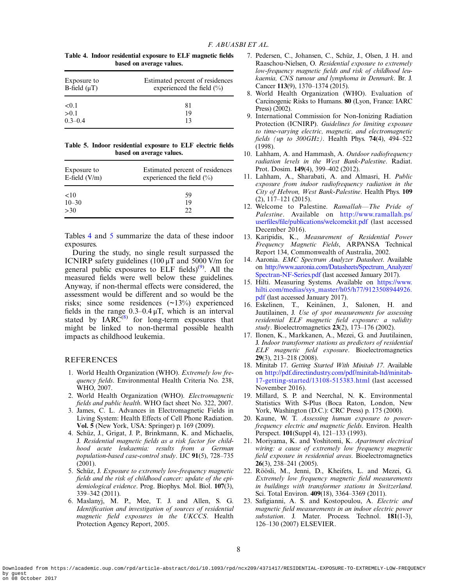<span id="page-7-0"></span>

| Table 4. Indoor residential exposure to ELF magnetic fields |
|-------------------------------------------------------------|
| based on average values.                                    |

| Exposure to       | Estimated percent of residences |  |  |
|-------------------|---------------------------------|--|--|
| B-field $(\mu T)$ | experienced the field $(\% )$   |  |  |
| < 0.1             | 81                              |  |  |
| > 0.1             | 19                              |  |  |
| $0.3 - 0.4$       | 13                              |  |  |

|  | Table 5. Indoor residential exposure to ELF electric fields |  |  |  |
|--|-------------------------------------------------------------|--|--|--|
|  | based on average values.                                    |  |  |  |

| Exposure to<br>E-field $(V/m)$ | Estimated percent of residences<br>experienced the field $(\% )$ |  |  |
|--------------------------------|------------------------------------------------------------------|--|--|
| <10                            | 59                                                               |  |  |
| $10 - 30$                      | 19                                                               |  |  |
| >30                            | 22                                                               |  |  |

Tables 4 and 5 summarize the data of these indoor exposures.

During the study, no single result surpassed the ICNIRP safety guidelines (100 μT and 5000 V/m for general public exposures to ELF fields) $^{(9)}$ . All the measured fields were well below these guidelines. Anyway, if non-thermal effects were considered, the assessment would be different and so would be the risks; since some residences (~13%) experienced fields in the range  $0.3-0.4 \mu T$ , which is an interval stated by  $IARC^{(8)}$  for long-term exposures that might be linked to non-thermal possible health impacts as childhood leukemia.

#### **REFERENCES**

- 1. World Health Organization (WHO). Extremely low frequency fields. Environmental Health Criteria No. 238, WHO, 2007.
- 2. World Health Organization (WHO). Electromagnetic fields and public health. WHO fact sheet No. 322, 2007.
- 3. James, C. L. Advances in Electromagnetic Fields in Living System: Health Effects of Cell Phone Radiation. Vol. 5 (New York, USA: Springer) p. 169 (2009).
- 4. Schüz, J., Grigat, J. P., Brinkmann, K. and Michaelis, J. Residential magnetic fields as a risk factor for childhood acute leukaemia: results from a German population-based case-control study. IJC 91(5), 728–735 (2001).
- 5. Schüz, J. Exposure to extremely low-frequency magnetic fields and the risk of childhood cancer: update of the epidemiological evidence. Prog. Biophys. Mol. Biol. 107(3), 339–342 (2011).
- 6. Maslanyj, M. P., Mee, T. J. and Allen, S. G. Identification and investigation of sources of residential magnetic field exposures in the UKCCS. Health Protection Agency Report, 2005.
- 7. Pedersen, C., Johansen, C., Schüz, J., Olsen, J. H. and Raaschou-Nielsen, O. Residential exposure to extremely low-frequency magnetic fields and risk of childhood leukaemia, CNS tumour and lymphoma in Denmark. Br. J. Cancer 113(9), 1370–1374 (2015).
- 8. World Health Organization (WHO). Evaluation of Carcinogenic Risks to Humans. 80 (Lyon, France: IARC Press) (2002).
- 9. International Commission for Non-Ionizing Radiation Protection (ICNIRP). Guidelines for limiting exposure to time-varying electric, magnetic, and electromagnetic fields (up to  $300GHz$ ). Health Phys. 74(4), 494–522 (1998).
- 10. Lahham, A. and Hammash, A. Outdoor radiofrequency radiation levels in the West Bank-Palestine. Radiat. Prot. Dosim. 149(4), 399–402 (2012).
- 11. Lahham, A., Sharabati, A. and Almasri, H. Public exposure from indoor radiofrequency radiation in the City of Hebron, West Bank-Palestine. Health Phys. 109 (2), 117–121 (2015).
- 12. Welcome to Palestine. Ramallah—The Pride of Palestine. Available on [http://www.ramallah.ps/](http://www.ramallah.ps/userfiles/file/publications/welcomekit.pdf) userfiles/fi[le/publications/welcomekit.pdf](http://www.ramallah.ps/userfiles/file/publications/welcomekit.pdf) (last accessed December 2016).
- 13. Karipidis, K., Measurement of Residential Power Frequency Magnetic Fields, ARPANSA Technical Report 134, Commonwealth of Australia, 2002.
- 14. Aaronia. EMC Spectrum Analyzer Datasheet. Available on [http://www.aaronia.com/Datasheets/Spectrum\\_Analyzer/](http://www.aaronia.com/Datasheets/Spectrum_Analyzer/Spectran-NF-Series.pdf) [Spectran-NF-Series.pdf](http://www.aaronia.com/Datasheets/Spectrum_Analyzer/Spectran-NF-Series.pdf) (last accessed January 2017).
- 15. Hilti. Measuring Systems. Available on [https://www.](https://www.hilti.com/medias/sys_master/h05/h77/9123508944926.pdf) [hilti.com/medias/sys\\_master/h05/h77/9123508944926.](https://www.hilti.com/medias/sys_master/h05/h77/9123508944926.pdf) [pdf](https://www.hilti.com/medias/sys_master/h05/h77/9123508944926.pdf) (last accessed January 2017).
- 16. Eskelinen, T., Keinänen, J., Salonen, H. and Juutilainen, J. Use of spot measurements for assessing residential ELF magnetic field exposure: a validity study. Bioelectromagnetics 23(2), 173–176 (2002).
- 17. Ilonen, K., Markkanen, A., Mezei, G. and Juutilainen, J. Indoor transformer stations as predictors of residential ELF magnetic field exposure. Bioelectromagnetics 29(3),  $213-218$  (2008).
- 18. Minitab 17. Getting Started With Minitab 17. Available on [http://pdf.directindustry.com/pdf/minitab-ltd/minitab-](http://pdf.directindustry.com/pdf/minitab-ltd/minitab-17-getting-started/13108-515383.html)[17-getting-started/13108-515383.html](http://pdf.directindustry.com/pdf/minitab-ltd/minitab-17-getting-started/13108-515383.html) (last accessed November 2016).
- 19. Millard, S. P. and Neerchal, N. K. Environmental Statistics With S-Plus (Boca Raton, London, New York, Washington (D.C.): CRC Press) p. 175 (2000).
- 20. Kaune, W. T. Assessing human exposure to powerfrequency electric and magnetic fields. Environ. Health Perspect. 101(Suppl 4), 121–133 (1993).
- 21. Moriyama, K. and Yoshitomi, K. Apartment electrical wiring: a cause of extremely low frequency magnetic field exposure in residential areas. Bioelectromagnetics 26(3), 238–241 (2005).
- 22. Röösli, M., Jenni, D., Kheifets, L. and Mezei, G. Extremely low frequency magnetic field measurements in buildings with transformer stations in Switzerland. Sci. Total Environ. **409**(18), 3364–3369 (2011).
- 23. Safigianni, A. S. and Kostopoulou, A. Electric and magnetic field measurements in an indoor electric power substation. J. Mater. Process. Technol. 181(1-3), 126–130 (2007) ELSEVIER.